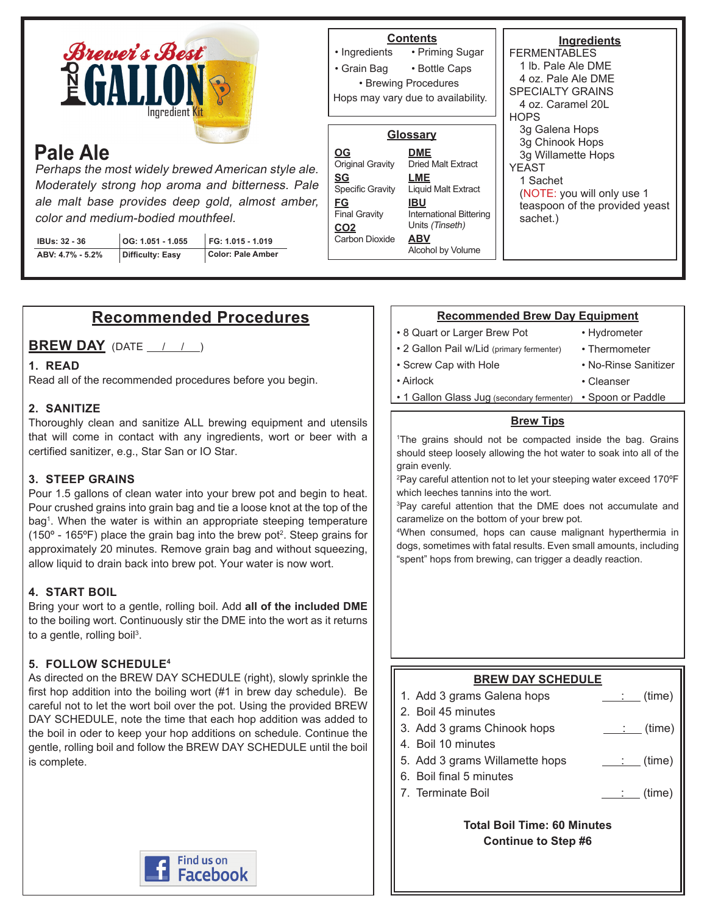

# **Pale Ale**

Perhaps the most widely brewed American style ale. Moderately strong hop aroma and bitterness. Pale ale malt base provides deep gold, almost amber, color and medium-bodied mouthfeel.

| <b>IBUs: 32 - 36</b> | $\vert$ OG: 1.051 - 1.055 | FG: 1.015 - 1.019 |
|----------------------|---------------------------|-------------------|
| ABV: 4.7% - 5.2%     | Difficulty: Easy          | Color: Pale Amber |

#### **Ingredients** FERMENTA hops yeast 1 Sachet **Contents** • Priming Sugar • Bottle Caps • Ingredients • Grain Bag • Brewing Procedures **Glossary DME** Dried Malt Extract **LME** Liquid Malt Extract **IBU OG** Original Gravity **SG** Specific Gravity **FG** Hops may vary due to availability.

International Bittering Units (Tinseth) **ABV** Alcohol by Volume **Carbon Dioxide** 

Final Gravity **CO2**

| FFRMENTABLES                   |
|--------------------------------|
| 1 lb. Pale Ale DMF             |
| 4 oz. Pale Ale DMF             |
| <b>SPECIALTY GRAINS</b>        |
| 4 oz. Caramel 201              |
| <b>HOPS</b>                    |
| 3g Galena Hops                 |
| 3g Chinook Hops                |
| 3g Willamette Hops             |
| <b>YFAST</b>                   |
| 1 Sachet                       |
| (NOTE: you will only use 1     |
| teaspoon of the provided yeast |
| sachet.)                       |
|                                |
|                                |

## **Recommended Procedures**

**BREW DAY** (DATE / / )

### **1. READ**

Read all of the recommended procedures before you begin.

### **2. SANITIZE**

Thoroughly clean and sanitize ALL brewing equipment and utensils that will come in contact with any ingredients, wort or beer with a certified sanitizer, e.g., Star San or IO Star.

### **3. STEEP GRAINS**

Pour 1.5 gallons of clean water into your brew pot and begin to heat. Pour crushed grains into grain bag and tie a loose knot at the top of the bag1 . When the water is within an appropriate steeping temperature (150 $\textdegree$  - 165 $\textdegree$ F) place the grain bag into the brew pot<sup>2</sup>. Steep grains for approximately 20 minutes. Remove grain bag and without squeezing, allow liquid to drain back into brew pot. Your water is now wort.

### **4. START BOIL**

Bring your wort to a gentle, rolling boil. Add **all of the included DME** to the boiling wort. Continuously stir the DME into the wort as it returns to a gentle, rolling boil<sup>3</sup>.

### **5. FOLLOW SCHEDULE4**

As directed on the BREW DAY SCHEDULE (right), slowly sprinkle the first hop addition into the boiling wort (#1 in brew day schedule). Be careful not to let the wort boil over the pot. Using the provided BREW DAY SCHEDULE, note the time that each hop addition was added to the boil in oder to keep your hop additions on schedule. Continue the gentle, rolling boil and follow the BREW DAY SCHEDULE until the boil is complete.



#### **Recommended Brew Day Equipment**

• 8 Quart or Larger Brew Pot

• Screw Cap with Hole

• Hydrometer

• Cleanser

- 2 Gallon Pail w/Lid (primary fermenter)
- Thermometer
- No-Rinse Sanitizer

- Airlock
	- 1 Gallon Glass Jug (secondary fermenter) Spoon or Paddle

### **Brew Tips**

1 The grains should not be compacted inside the bag. Grains should steep loosely allowing the hot water to soak into all of the grain evenly.

2 Pay careful attention not to let your steeping water exceed 170ºF which leeches tannins into the wort.

3 Pay careful attention that the DME does not accumulate and caramelize on the bottom of your brew pot.

4 When consumed, hops can cause malignant hyperthermia in dogs, sometimes with fatal results. Even small amounts, including "spent" hops from brewing, can trigger a deadly reaction.

### **BREW DAY SCHEDULE**

- 1. Add 3 grams Galena hops  $\qquad \qquad \qquad \qquad$  (time)
- 2. Boil 45 minutes
- 3. Add 3 grams Chinook hops : (time)
- 4. Boil 10 minutes
- 5. Add 3 grams Willamette hops : (time)
- 6. Boil final 5 minutes
- 7. Terminate Boil  $\qquad \qquad \qquad \qquad$  (time)

**Total Boil Time: 60 Minutes Continue to Step #6**